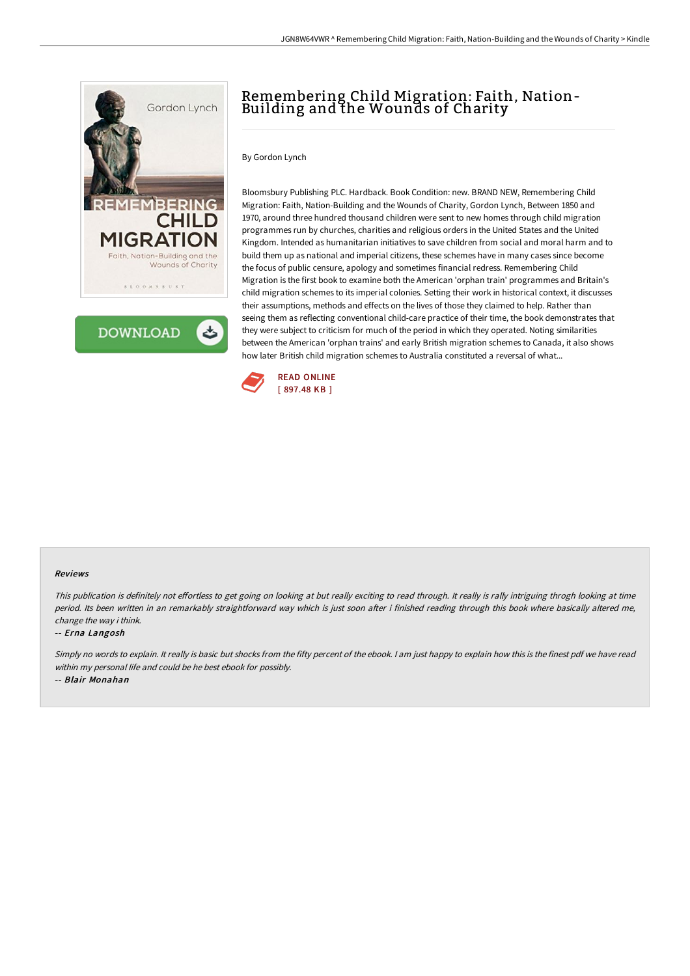



# Remembering Child Migration: Faith, Nation-Building and the Wounds of Charity

### By Gordon Lynch

Bloomsbury Publishing PLC. Hardback. Book Condition: new. BRAND NEW, Remembering Child Migration: Faith, Nation-Building and the Wounds of Charity, Gordon Lynch, Between 1850 and 1970, around three hundred thousand children were sent to new homes through child migration programmes run by churches, charities and religious orders in the United States and the United Kingdom. Intended as humanitarian initiatives to save children from social and moral harm and to build them up as national and imperial citizens, these schemes have in many cases since become the focus of public censure, apology and sometimes financial redress. Remembering Child Migration is the first book to examine both the American 'orphan train' programmes and Britain's child migration schemes to its imperial colonies. Setting their work in historical context, it discusses their assumptions, methods and effects on the lives of those they claimed to help. Rather than seeing them as reflecting conventional child-care practice of their time, the book demonstrates that they were subject to criticism for much of the period in which they operated. Noting similarities between the American 'orphan trains' and early British migration schemes to Canada, it also shows how later British child migration schemes to Australia constituted a reversal of what...



#### Reviews

This publication is definitely not effortless to get going on looking at but really exciting to read through. It really is rally intriguing throgh looking at time period. Its been written in an remarkably straightforward way which is just soon after i finished reading through this book where basically altered me, change the way i think.

#### -- Erna Langosh

Simply no words to explain. It really is basic but shocks from the fifty percent of the ebook. I am just happy to explain how this is the finest pdf we have read within my personal life and could be he best ebook for possibly.

-- Blair Monahan